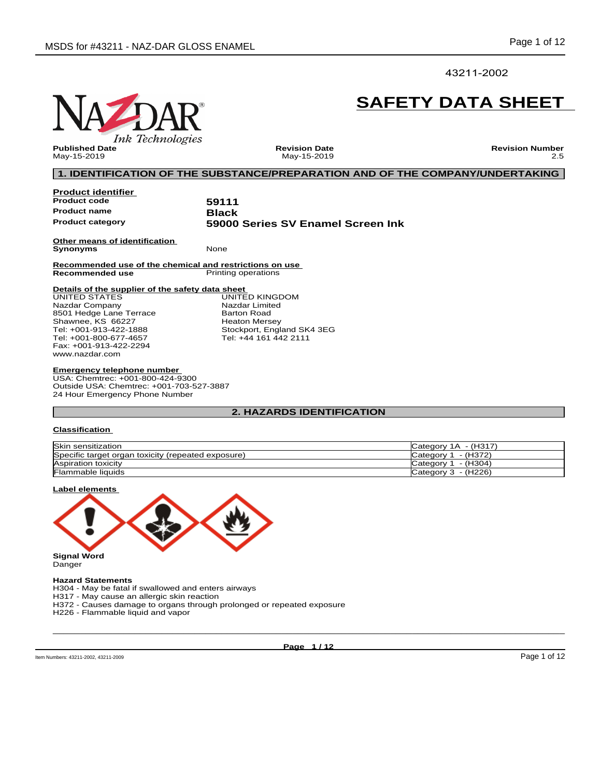## 43211-2002

# **Ink Technologies**

# **SAFETY DATA SHEET**

**Published Date** May-15-2019

**Revision Date** May-15-2019 **Revision Number** 2.5

### **1. IDENTIFICATION OF THE SUBSTANCE/PREPARATION AND OF THE COMPANY/UNDERTAKING**

| <b>Product identifier</b>                                                  |                                   |
|----------------------------------------------------------------------------|-----------------------------------|
| <b>Product code</b>                                                        | 59111                             |
| <b>Product name</b>                                                        | <b>Black</b>                      |
| <b>Product category</b>                                                    | 59000 Series SV Enamel Screen Ink |
| Other means of identification<br><b>Synonyms</b>                           | None                              |
| Recommended use of the chemical and restrictions on use<br>Recommended use | Printing operations               |
| Details of the supplier of the safety data sheet                           |                                   |
| UNITED STATES                                                              | UNITED KINGDOM                    |
| Nazdar Company                                                             | Nazdar Limited                    |
| 8501 Hedge Lane Terrace                                                    | <b>Barton Road</b>                |
| Shawnee, KS 66227                                                          | <b>Heaton Mersey</b>              |
| Tel: +001-913-422-1888                                                     | Stockport, England SK4 3EG        |
| Tel: +001-800-677-4657                                                     | Tel: +44 161 442 2111             |
| Fax: +001-913-422-2294                                                     |                                   |
| www.nazdar.com                                                             |                                   |

### **Emergency telephone number**

USA: Chemtrec: +001-800-424-9300 Outside USA: Chemtrec: +001-703-527-3887 24 Hour Emergency Phone Number

### **2. HAZARDS IDENTIFICATION**

### **Classification**

| Skin sensitization                                 | - (H317)<br>Category 1A       |
|----------------------------------------------------|-------------------------------|
| Specific target organ toxicity (repeated exposure) | - (H372)<br>Category $\gamma$ |
| Aspiration toxicity                                | - (H304)<br>Category $1$      |
| <b>Flammable liquids</b>                           | Category $3 - (H226)$         |

### **Label elements**



# **Hazard Statements**

H304 - May be fatal if swallowed and enters airways

H317 - May cause an allergic skin reaction

H372 - Causes damage to organs through prolonged or repeated exposure

H226 - Flammable liquid and vapor

**Page 1 / 12**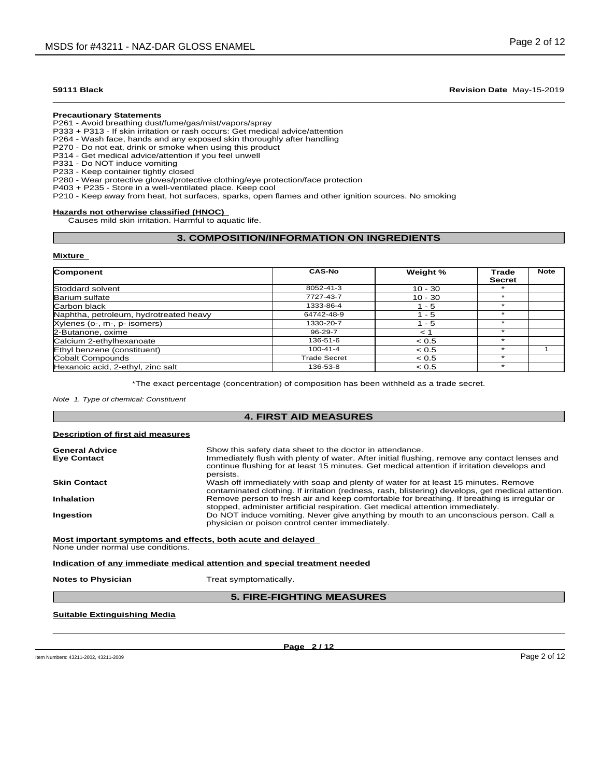### **Precautionary Statements**

P261 - Avoid breathing dust/fume/gas/mist/vapors/spray

P333 + P313 - If skin irritation or rash occurs: Getmedical advice/attention

P264 - Wash face, hands and any exposed skin thoroughly after handling

P270 - Do not eat, drink or smoke when using this product

P314 - Get medical advice/attention if you feel unwell

P331 - Do NOT induce vomiting P233 - Keep container tightly closed

P280 - Wear protective gloves/protective clothing/eye protection/face protection

P403 + P235 - Store in a well-ventilated place. Keep cool

P210 - Keep away from heat, hot surfaces, sparks, open flames and other ignition sources. No smoking

### **Hazards not otherwise classified (HNOC)**

Causes mild skin irritation. Harmful to aquatic life.

### **3. COMPOSITION/INFORMATION ON INGREDIENTS**

### **Mixture**

| Component                              | <b>CAS-No</b>  | Weight %  | Trade         | <b>Note</b> |
|----------------------------------------|----------------|-----------|---------------|-------------|
|                                        |                |           | <b>Secret</b> |             |
| Stoddard solvent                       | 8052-41-3      | $10 - 30$ |               |             |
| Barium sulfate                         | 7727-43-7      | $10 - 30$ |               |             |
| Carbon black                           | 1333-86-4      | l - 5     |               |             |
| Naphtha, petroleum, hydrotreated heavy | 64742-48-9     | - 5       |               |             |
| Xylenes (o-, m-, p- isomers)           | 1330-20-7      | - 5       |               |             |
| 2-Butanone, oxime                      | 96-29-7        | $\leq$ 1  |               |             |
| Calcium 2-ethylhexanoate               | 136-51-6       | < 0.5     |               |             |
| Ethyl benzene (constituent)            | $100 - 41 - 4$ | < 0.5     |               |             |
| Cobalt Compounds                       | Trade Secret   | < 0.5     |               |             |
| Hexanoic acid, 2-ethyl, zinc salt      | 136-53-8       | < 0.5     |               |             |

\*The exact percentage (concentration) of composition has been withheld as a trade secret.

**4. FIRST AID MEASURES**

*Note 1. Type of chemical: Constituent*

# **Description of first aid measures General Advice** Show this safety data sheet to the doctor in attendance.<br> **Eye Contact Immediately flush with plenty of water.** After initial flushing, remove any contact lenses and continue flushing for atleast 15 minutes. Get medical attention if irritation develops and persists. **Skin Contact** Wash off immediately with soap and plenty of water for at least 15 minutes. Remove contaminated clothing. If irritation (redness, rash, blistering) develops, get medical attention. **Inhalation** Remove person to fresh air and keep comfortable for breathing. If breathing is irregular or stopped, administer artificial respiration. Get medical attention immediately. **Ingestion Do NOT** induce vomiting. Never give anything by mouth to an unconscious person. Call a physician or poison control center immediately. **Most important symptoms and effects, both acute and delayed** None under normal use conditions. **Indication of any immediate medical attention and special treatment needed**

**Notes to Physician** Treat symptomatically.

### **5. FIRE-FIGHTING MEASURES**

### **Suitable Extinguishing Media**

**Page 2 / 12**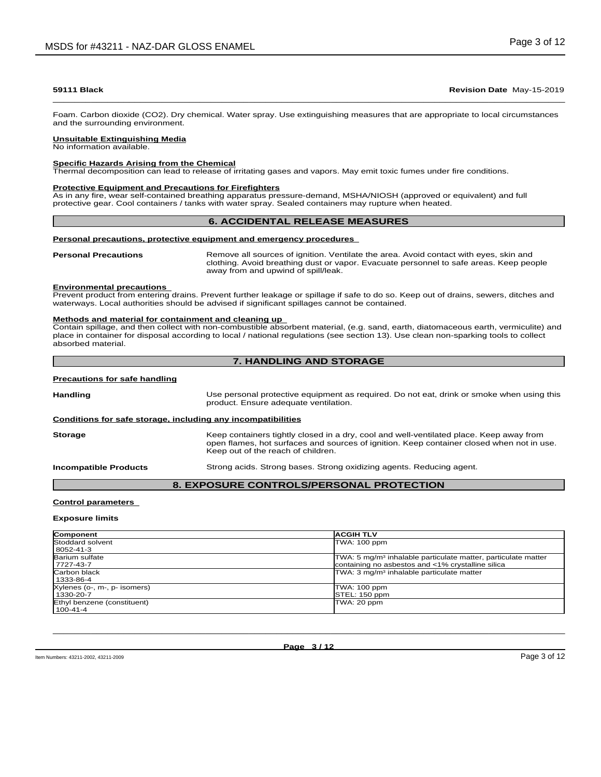Foam. Carbon dioxide (CO2). Dry chemical. Water spray. Use extinguishing measures that are appropriate to local circumstances and the surrounding environment.

### **Unsuitable Extinguishing Media**

No information available.

### **Specific Hazards Arising from the Chemical**

Thermal decomposition can lead to release of irritating gases and vapors. May emit toxic fumes under fire conditions.

### **Protective Equipment and Precautions for Firefighters**

As in any fire, wear self-contained breathing apparatus pressure-demand, MSHA/NIOSH (approved or equivalent) and full protective gear. Cool containers / tanks with water spray. Sealed containers may rupture when heated.

### **6. ACCIDENTAL RELEASE MEASURES**

### **Personal precautions, protective equipment and emergency procedures**

**Personal Precautions** Remove all sources of ignition. Ventilate the area. Avoid contact with eyes, skin and clothing. Avoid breathing dust or vapor. Evacuate personnel to safe areas. Keep people away from and upwind of spill/leak.

### **Environmental precautions**

Prevent product from entering drains. Prevent further leakage or spillage if safe to do so. Keep out of drains, sewers, ditches and waterways. Local authorities should be advised if significant spillages cannot be contained.

### **Methods and material for containment and cleaning up**

Contain spillage, and then collectwith non-combustible absorbent material, (e.g. sand, earth, diatomaceous earth, vermiculite) and place in container for disposal according to local / national regulations (see section 13). Use clean non-sparking tools to collect absorbed material.

# **7. HANDLING AND STORAGE**

### **Precautions for safe handling**

Handling **Handling Example 20** Use personal protective equipment as required. Do not eat, drink or smoke when using this product. Ensure adequate ventilation.

### **Conditions for safe storage, including any incompatibilities**

| <b>Storage</b>               | Keep containers tightly closed in a dry, cool and well-ventilated place. Keep away from<br>open flames, hot surfaces and sources of ignition. Keep container closed when not in use.<br>Keep out of the reach of children. |
|------------------------------|----------------------------------------------------------------------------------------------------------------------------------------------------------------------------------------------------------------------------|
| <b>Incompatible Products</b> | Strong acids. Strong bases. Strong oxidizing agents. Reducing agent.                                                                                                                                                       |

### **8. EXPOSURE CONTROLS/PERSONAL PROTECTION**

### **Control parameters**

### **Exposure limits**

| <b>Component</b>                          | <b>IACGIH TLV</b>                                                                                                              |
|-------------------------------------------|--------------------------------------------------------------------------------------------------------------------------------|
| Stoddard solvent<br>  8052-41-3           | TWA: 100 ppm                                                                                                                   |
| Barium sulfate<br>  7727-43-7             | TWA: 5 mg/m <sup>3</sup> inhalable particulate matter, particulate matter<br>containing no asbestos and <1% crystalline silica |
| Carbon black<br>  1333-86-4               | TWA: 3 mg/m <sup>3</sup> inhalable particulate matter                                                                          |
| Xylenes (o-, m-, p- isomers)<br>1330-20-7 | TWA: 100 ppm<br>STEL: 150 ppm                                                                                                  |
| Ethyl benzene (constituent)<br>100-41-4   | TWA: 20 ppm                                                                                                                    |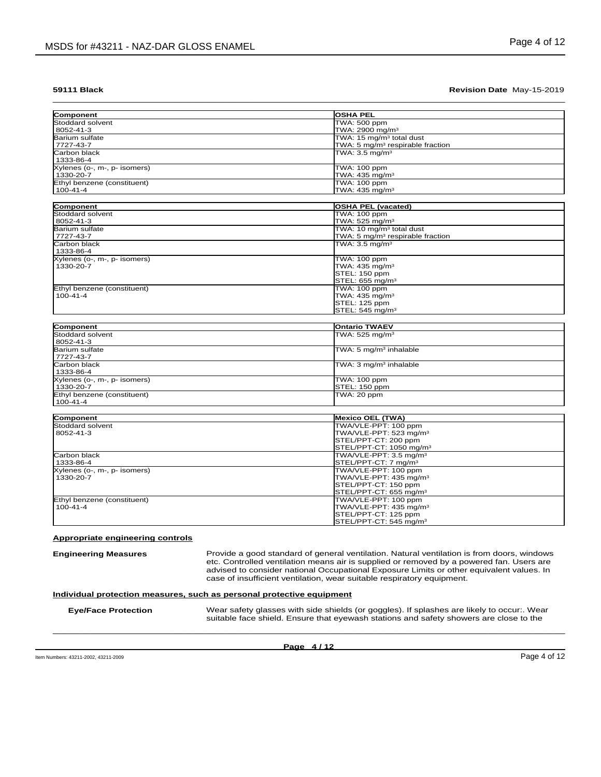| Component                                 | OSHA PEL                                                   |
|-------------------------------------------|------------------------------------------------------------|
| Stoddard solvent                          | TWA: 500 ppm                                               |
| 8052-41-3                                 | TWA: 2900 mg/m <sup>3</sup>                                |
| Barium sulfate                            | TWA: 15 mg/m <sup>3</sup> total dust                       |
| 7727-43-7                                 | TWA: 5 mg/m <sup>3</sup> respirable fraction               |
| <b>Carbon black</b><br>1333-86-4          | TWA: $3.5$ mg/m <sup>3</sup>                               |
| Xylenes (o-, m-, p- isomers)              | TWA: 100 ppm                                               |
| 1330-20-7                                 | TWA: 435 mg/m <sup>3</sup>                                 |
| Ethyl benzene (constituent)               | <b>TWA: 100 ppm</b>                                        |
| $100 - 41 - 4$                            | TWA: 435 mg/m <sup>3</sup>                                 |
| Component                                 | <b>OSHA PEL (vacated)</b>                                  |
| Stoddard solvent                          | TWA: 100 ppm                                               |
| 8052-41-3                                 | TWA: 525 mg/m <sup>3</sup>                                 |
| Barium sulfate                            | TWA: 10 mg/m <sup>3</sup> total dust                       |
| 7727-43-7                                 | TWA: 5 mg/m <sup>3</sup> respirable fraction               |
| Carbon black<br>1333-86-4                 | TWA: $3.5 \text{ mg/m}^3$                                  |
| Xylenes (o-, m-, p- isomers)              | TWA: 100 ppm                                               |
| 1330-20-7                                 | TWA: 435 mg/m <sup>3</sup>                                 |
|                                           | STEL: 150 ppm                                              |
|                                           | STEL: 655 mg/m <sup>3</sup>                                |
| Ethyl benzene (constituent)               | <b>TWA: 100 ppm</b>                                        |
| 100-41-4                                  | TWA: 435 mg/m <sup>3</sup>                                 |
|                                           | STEL: 125 ppm                                              |
|                                           | STEL: 545 mg/m <sup>3</sup>                                |
|                                           |                                                            |
| Component                                 | <b>Ontario TWAEV</b>                                       |
| Stoddard solvent<br>8052-41-3             | TWA: 525 mg/m <sup>3</sup>                                 |
| Barium sulfate<br>7727-43-7               | TWA: 5 mg/m <sup>3</sup> inhalable                         |
| Carbon black                              | TWA: 3 mg/m <sup>3</sup> inhalable                         |
| 1333-86-4                                 |                                                            |
| Xylenes (o-, m-, p- isomers)<br>1330-20-7 | <b>TWA: 100 ppm</b><br>STEL: 150 ppm                       |
| Ethyl benzene (constituent)               | TWA: 20 ppm                                                |
| $100 - 41 - 4$                            |                                                            |
| Component                                 | <b>Mexico OEL (TWA)</b>                                    |
| Stoddard solvent                          | TWA/VLE-PPT: 100 ppm                                       |
| 8052-41-3                                 | TWA/VLE-PPT: 523 mg/m <sup>3</sup>                         |
|                                           | STEL/PPT-CT: 200 ppm                                       |
|                                           | STEL/PPT-CT: 1050 mg/m <sup>3</sup>                        |
| Carbon black                              | TWA/VLE-PPT: 3.5 mg/m <sup>3</sup>                         |
| 1333-86-4                                 | STEL/PPT-CT: 7 mg/m <sup>3</sup>                           |
| Xylenes (o-, m-, p- isomers)              | TWA/VLE-PPT: 100 ppm                                       |
|                                           | TWA/VLE-PPT: 435 mg/m <sup>3</sup>                         |
| 1330-20-7                                 | STEL/PPT-CT: 150 ppm                                       |
|                                           |                                                            |
|                                           | STEL/PPT-CT: 655 mg/m <sup>3</sup>                         |
|                                           | TWA/VLE-PPT: 100 ppm                                       |
| Ethyl benzene (constituent)<br>100-41-4   | TWA/VLE-PPT: 435 mg/m <sup>3</sup>                         |
|                                           | STEL/PPT-CT: 125 ppm<br>STEL/PPT-CT: 545 mg/m <sup>3</sup> |

**Engineering Measures Provide a good standard of general ventilation. Natural ventilation is from doors, windows** etc. Controlled ventilation means air is supplied or removed by a powered fan. Users are advised to consider national Occupational Exposure Limits or other equivalent values. In case of insufficient ventilation, wear suitable respiratory equipment.

suitable face shield. Ensure that eyewash stations and safety showers are close to the  $\_$  ,  $\_$  ,  $\_$  ,  $\_$  ,  $\_$  ,  $\_$  ,  $\_$  ,  $\_$  ,  $\_$  ,  $\_$  ,  $\_$  ,  $\_$  ,  $\_$  ,  $\_$  ,  $\_$  ,  $\_$  ,  $\_$  ,  $\_$  ,  $\_$  ,  $\_$  ,  $\_$  ,  $\_$  ,  $\_$  ,  $\_$  ,  $\_$  ,  $\_$  ,  $\_$  ,  $\_$  ,  $\_$  ,  $\_$  ,  $\_$  ,  $\_$  ,  $\_$  ,  $\_$  ,  $\_$  ,  $\_$  ,  $\_$  ,

### **Individual protection measures, such as personal protective equipment**

**Eye/Face Protection** Wear safety glasses with side shields (or goggles). If splashes are likely to occur:. Wear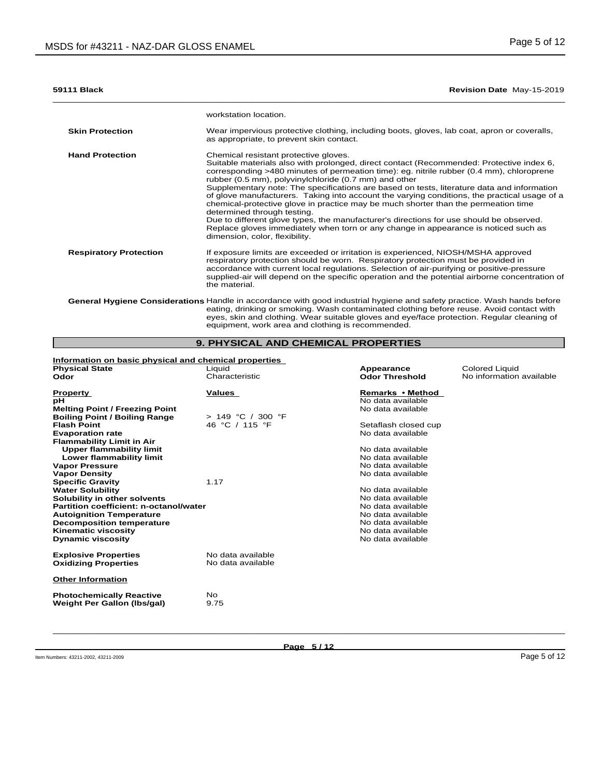$\bot$  , and the contribution of the contribution of the contribution of the contribution of the contribution of  $\bot$ 

|                               | workstation location.                                                                                                                                                                                                                                                                                                                                                                                                                                                                                                                                                                                                                                                                                                                                                                                                         |
|-------------------------------|-------------------------------------------------------------------------------------------------------------------------------------------------------------------------------------------------------------------------------------------------------------------------------------------------------------------------------------------------------------------------------------------------------------------------------------------------------------------------------------------------------------------------------------------------------------------------------------------------------------------------------------------------------------------------------------------------------------------------------------------------------------------------------------------------------------------------------|
| <b>Skin Protection</b>        | Wear impervious protective clothing, including boots, gloves, lab coat, apron or coveralls,<br>as appropriate, to prevent skin contact.                                                                                                                                                                                                                                                                                                                                                                                                                                                                                                                                                                                                                                                                                       |
| <b>Hand Protection</b>        | Chemical resistant protective gloves.<br>Suitable materials also with prolonged, direct contact (Recommended: Protective index 6,<br>corresponding >480 minutes of permeation time): eg. nitrile rubber (0.4 mm), chloroprene<br>rubber (0.5 mm), polyvinylchloride (0.7 mm) and other<br>Supplementary note: The specifications are based on tests, literature data and information<br>of glove manufacturers. Taking into account the varying conditions, the practical usage of a<br>chemical-protective glove in practice may be much shorter than the permeation time<br>determined through testing.<br>Due to different glove types, the manufacturer's directions for use should be observed.<br>Replace gloves immediately when torn or any change in appearance is noticed such as<br>dimension, color, flexibility. |
| <b>Respiratory Protection</b> | If exposure limits are exceeded or irritation is experienced, NIOSH/MSHA approved<br>respiratory protection should be worn. Respiratory protection must be provided in<br>accordance with current local regulations. Selection of air-purifying or positive-pressure<br>supplied-air will depend on the specific operation and the potential airborne concentration of<br>the material.                                                                                                                                                                                                                                                                                                                                                                                                                                       |
|                               | General Hygiene Considerations Handle in accordance with good industrial hygiene and safety practice. Wash hands before<br>eating, drinking or smoking. Wash contaminated clothing before reuse. Avoid contact with<br>eyes, skin and clothing. Wear suitable gloves and eye/face protection. Regular cleaning of<br>equipment, work area and clothing is recommended.                                                                                                                                                                                                                                                                                                                                                                                                                                                        |

# **9. PHYSICAL AND CHEMICAL PROPERTIES**

| Information on basic physical and chemical properties |                     |                       |                          |
|-------------------------------------------------------|---------------------|-----------------------|--------------------------|
| <b>Physical State</b>                                 | Liquid              | Appearance            | <b>Colored Liquid</b>    |
| Odor                                                  | Characteristic      | <b>Odor Threshold</b> | No information available |
|                                                       | Values              | Remarks • Method      |                          |
| <b>Property</b>                                       |                     | No data available     |                          |
| рH                                                    |                     |                       |                          |
| <b>Melting Point / Freezing Point</b>                 |                     | No data available     |                          |
| <b>Boiling Point / Boiling Range</b>                  | $> 149$ °C / 300 °F |                       |                          |
| <b>Flash Point</b>                                    | 46 °C / 115 °F      | Setaflash closed cup  |                          |
| <b>Evaporation rate</b>                               |                     | No data available     |                          |
| <b>Flammability Limit in Air</b>                      |                     |                       |                          |
| <b>Upper flammability limit</b>                       |                     | No data available     |                          |
| Lower flammability limit                              |                     | No data available     |                          |
| <b>Vapor Pressure</b>                                 |                     | No data available     |                          |
| <b>Vapor Density</b>                                  |                     | No data available     |                          |
| <b>Specific Gravity</b>                               | 1.17                |                       |                          |
| <b>Water Solubility</b>                               |                     | No data available     |                          |
| Solubility in other solvents                          |                     | No data available     |                          |
| Partition coefficient: n-octanol/water                |                     | No data available     |                          |
| <b>Autoignition Temperature</b>                       |                     | No data available     |                          |
| <b>Decomposition temperature</b>                      |                     | No data available     |                          |
| <b>Kinematic viscosity</b>                            |                     | No data available     |                          |
| <b>Dynamic viscosity</b>                              |                     | No data available     |                          |
| <b>Explosive Properties</b>                           | No data available   |                       |                          |
| <b>Oxidizing Properties</b>                           | No data available   |                       |                          |
|                                                       |                     |                       |                          |
| <b>Other Information</b>                              |                     |                       |                          |
| <b>Photochemically Reactive</b>                       | No.                 |                       |                          |
| <b>Weight Per Gallon (Ibs/gal)</b>                    | 9.75                |                       |                          |
|                                                       |                     |                       |                          |
|                                                       |                     |                       |                          |

**Page 5 / 12**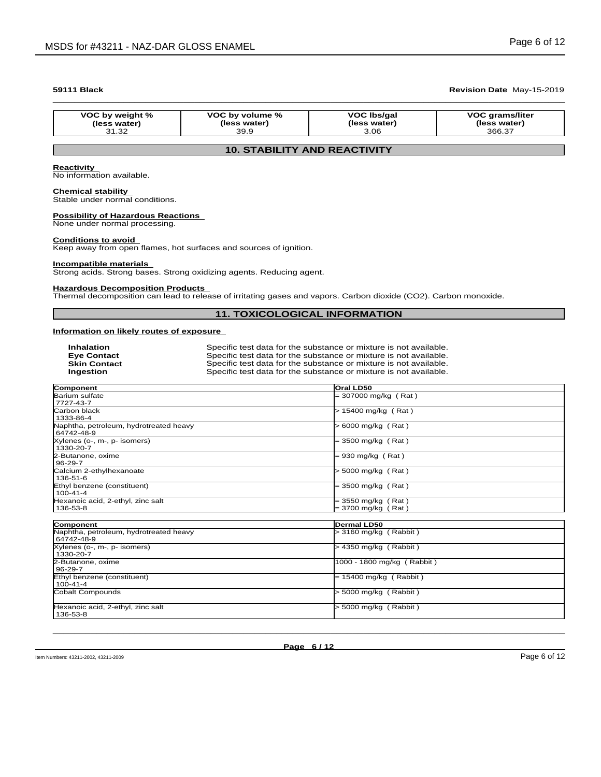| VOC by weight % | VOC by volume % | VOC Ibs/gal  | <b>VOC grams/liter</b> |
|-----------------|-----------------|--------------|------------------------|
| (less water)    | (less water)    | (less water) | (less water)           |
| 31.32           | 39.9            | 3.06         | 366.37                 |

## **10. STABILITY AND REACTIVITY**

### **Reactivity**

No information available.

### **Chemical stability**

Stable under normal conditions.

# **Possibility of Hazardous Reactions**

None under normal processing.

### **Conditions to avoid**

Keep away from open flames, hot surfaces and sources of ignition.

### **Incompatible materials**

Strong acids. Strong bases. Strong oxidizing agents. Reducing agent.

### **Hazardous Decomposition Products**

Thermal decomposition can lead to release of irritating gases and vapors. Carbon dioxide (CO2). Carbon monoxide.

### **11. TOXICOLOGICAL INFORMATION**

### **Information on likely routes of exposure**

| <b>Inhalation</b>   | Specific test data for the substance or mixture is not available. |
|---------------------|-------------------------------------------------------------------|
| <b>Eve Contact</b>  | Specific test data for the substance or mixture is not available. |
| <b>Skin Contact</b> | Specific test data for the substance or mixture is not available. |
| Ingestion           | Specific test data for the substance or mixture is not available. |

| Component                              | Oral LD50                  |
|----------------------------------------|----------------------------|
| Barium sulfate                         | $= 307000$ mg/kg (Rat)     |
| 7727-43-7                              |                            |
| <b>Carbon black</b>                    | > 15400 mg/kg (Rat)        |
| 1333-86-4                              |                            |
| Naphtha, petroleum, hydrotreated heavy | > 6000 mg/kg (Rat)         |
| 64742-48-9                             |                            |
| Xylenes (o-, m-, p- isomers)           | $= 3500$ mg/kg (Rat)       |
| 1330-20-7                              |                            |
| 2-Butanone, oxime                      | $= 930$ mg/kg (Rat)        |
| 96-29-7                                |                            |
| Calcium 2-ethylhexanoate               | > 5000 mg/kg (Rat)         |
| 136-51-6                               |                            |
| Ethyl benzene (constituent)            | = 3500 mg/kg (Rat)         |
| 100-41-4                               |                            |
| Hexanoic acid, 2-ethyl, zinc salt      | = 3550 mg/kg (Rat)         |
| 136-53-8                               | = 3700 mg/kg (Rat)         |
|                                        |                            |
| Component                              | Dermal LD50                |
| Naphtha, petroleum, hydrotreated heavy | > 3160 mg/kg (Rabbit)      |
| 64742-48-9                             |                            |
| Xylenes (o-, m-, p- isomers)           | > 4350 mg/kg (Rabbit)      |
| 1330-20-7                              |                            |
| 2-Butanone, oxime                      | 1000 - 1800 mg/kg (Rabbit) |
| 96-29-7                                |                            |
| Ethyl benzene (constituent)            | $= 15400$ mg/kg (Rabbit)   |
| $100 - 41 - 4$                         |                            |
| Cobalt Compounds                       | > 5000 mg/kg (Rabbit)      |
|                                        |                            |
| Hexanoic acid, 2-ethyl, zinc salt      | > 5000 mg/kg (Rabbit)      |
| 136-53-8                               |                            |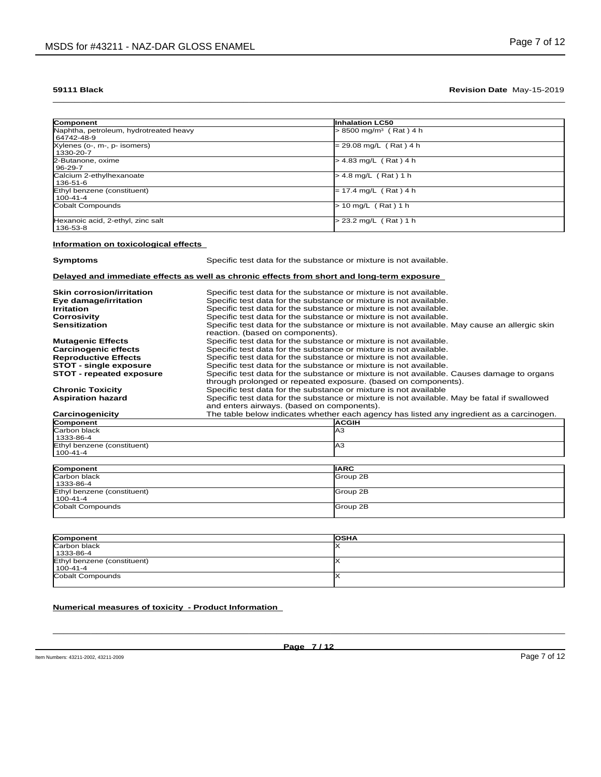| Component                                            | <b>Inhalation LC50</b>               |  |
|------------------------------------------------------|--------------------------------------|--|
| Naphtha, petroleum, hydrotreated heavy<br>64742-48-9 | $> 8500$ mg/m <sup>3</sup> (Rat) 4 h |  |
| Xylenes (o-, m-, p- isomers)<br>1330-20-7            | $= 29.08$ mg/L (Rat) 4 h             |  |
| 2-Butanone, oxime<br>96-29-7                         | $> 4.83$ mg/L (Rat) 4 h              |  |
| Calcium 2-ethylhexanoate<br>136-51-6                 | $> 4.8$ mg/L (Rat) 1 h               |  |
| Ethyl benzene (constituent)<br>100-41-4              | $= 17.4$ mg/L (Rat) 4 h              |  |
| Cobalt Compounds                                     | $> 10$ mg/L (Rat) 1 h                |  |
| Hexanoic acid, 2-ethyl, zinc salt<br>136-53-8        | > 23.2 mg/L (Rat) 1 h                |  |

# **Information on toxicological effects**

| <b>Symptoms</b>                         | Specific test data for the substance or mixture is not available.                                                                                           |  |  |
|-----------------------------------------|-------------------------------------------------------------------------------------------------------------------------------------------------------------|--|--|
|                                         | Delayed and immediate effects as well as chronic effects from short and long-term exposure                                                                  |  |  |
| <b>Skin corrosion/irritation</b>        | Specific test data for the substance or mixture is not available.                                                                                           |  |  |
| Eye damage/irritation                   | Specific test data for the substance or mixture is not available.                                                                                           |  |  |
| <b>Irritation</b>                       | Specific test data for the substance or mixture is not available.                                                                                           |  |  |
| Corrosivity                             | Specific test data for the substance or mixture is not available.                                                                                           |  |  |
| <b>Sensitization</b>                    | Specific test data for the substance or mixture is not available. May cause an allergic skin<br>reaction. (based on components).                            |  |  |
| <b>Mutagenic Effects</b>                | Specific test data for the substance or mixture is not available.                                                                                           |  |  |
| <b>Carcinogenic effects</b>             | Specific test data for the substance or mixture is not available.                                                                                           |  |  |
| <b>Reproductive Effects</b>             | Specific test data for the substance or mixture is not available.                                                                                           |  |  |
| <b>STOT - single exposure</b>           | Specific test data for the substance or mixture is not available.                                                                                           |  |  |
| <b>STOT - repeated exposure</b>         | Specific test data for the substance or mixture is not available. Causes damage to organs<br>through prolonged or repeated exposure. (based on components). |  |  |
| <b>Chronic Toxicity</b>                 | Specific test data for the substance or mixture is not available                                                                                            |  |  |
| <b>Aspiration hazard</b>                | Specific test data for the substance or mixture is not available. May be fatal if swallowed<br>and enters airways. (based on components).                   |  |  |
| Carcinogenicity                         | The table below indicates whether each agency has listed any ingredient as a carcinogen.                                                                    |  |  |
| Component                               | <b>ACGIH</b>                                                                                                                                                |  |  |
| <b>Carbon black</b><br>1333-86-4        | AЗ                                                                                                                                                          |  |  |
| Ethyl benzene (constituent)<br>100-41-4 | AЗ                                                                                                                                                          |  |  |
| Component                               | <b>IARC</b>                                                                                                                                                 |  |  |
|                                         |                                                                                                                                                             |  |  |

| PQQHQQHQHQHQ                | 117111           |
|-----------------------------|------------------|
| Carbon black                | Group 2B         |
| 1333-86-4                   |                  |
| Ethyl benzene (constituent) | <b>IGroup 2B</b> |
| $ 100 - 41 - 4 $            |                  |
| Cobalt Compounds            | Group 2B         |
|                             |                  |
|                             |                  |

| Component                   | <b>OSHA</b> |
|-----------------------------|-------------|
| Carbon black                |             |
| 1333-86-4                   |             |
| Ethyl benzene (constituent) |             |
| $100 - 41 - 4$              |             |
| Cobalt Compounds            |             |
|                             |             |

### **Numerical measures of toxicity - Product Information**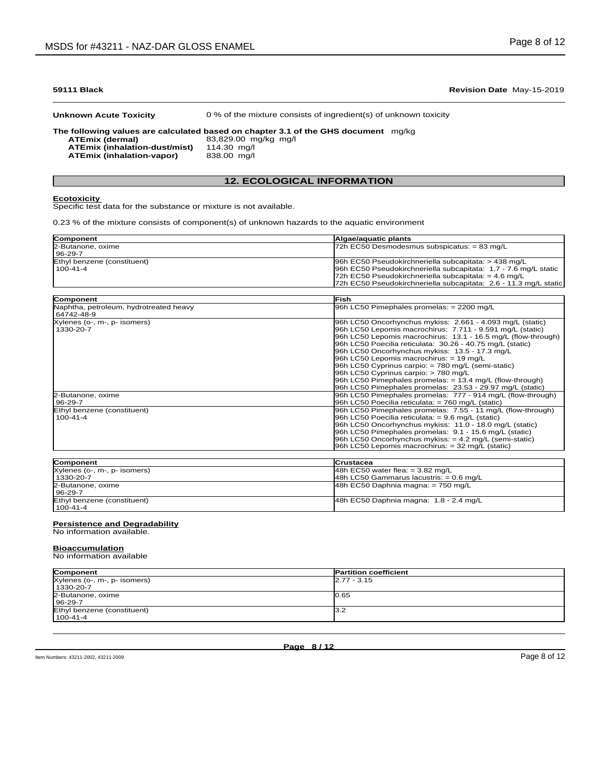**Unknown Acute Toxicity** 0 % of the mixture consists of ingredient(s) of unknown toxicity

**The following values are calculated based on chapter 3.1 of the GHS document** mg/kg

**ATEmix (dermal)**83,829.00 mg/kg mg/l

**ATEmix (inhalation-dust/mist)** 114.30 mg/l **ATEmix** (inhalation-vapor)

### **12. ECOLOGICAL INFORMATION**

### **Ecotoxicity**

Specific test data for the substance or mixture is not available.

0.23 % of the mixture consists of component(s) of unknown hazards to the aquatic environment

| Component                   | <b>Algae/aquatic plants</b>                                      |
|-----------------------------|------------------------------------------------------------------|
| 2-Butanone, oxime           | $72h$ EC50 Desmodesmus subspicatus: = 83 mg/L                    |
| $196 - 29 - 7$              |                                                                  |
| Ethyl benzene (constituent) | 96h EC50 Pseudokirchneriella subcapitata: > 438 mg/L             |
| 100-41-4                    | 96h EC50 Pseudokirchneriella subcapitata: 1.7 - 7.6 mg/L static  |
|                             | 72h EC50 Pseudokirchneriella subcapitata: = $4.6 \text{ mg/L}$   |
|                             | 72h EC50 Pseudokirchneriella subcapitata: 2.6 - 11.3 mg/L static |

| <b>Component</b>                       | <b>IFish</b>                                                  |
|----------------------------------------|---------------------------------------------------------------|
| Naphtha, petroleum, hydrotreated heavy | 96h LC50 Pimephales promelas: $= 2200$ mg/L                   |
| 64742-48-9                             |                                                               |
| Xylenes (o-, m-, p- isomers)           | 96h LC50 Oncorhynchus mykiss: 2.661 - 4.093 mg/L (static)     |
| 1330-20-7                              | 96h LC50 Lepomis macrochirus: 7.711 - 9.591 mg/L (static)     |
|                                        | 96h LC50 Lepomis macrochirus: 13.1 - 16.5 mg/L (flow-through) |
|                                        | 96h LC50 Poecilia reticulata: 30.26 - 40.75 mg/L (static)     |
|                                        | 96h LC50 Oncorhynchus mykiss: 13.5 - 17.3 mg/L                |
|                                        | $96h$ LC50 Lepomis macrochirus: = 19 mg/L                     |
|                                        | 96h LC50 Cyprinus carpio: = 780 mg/L (semi-static)            |
|                                        | 96h LC50 Cyprinus carpio: > 780 mg/L                          |
|                                        | 96h LC50 Pimephales promelas: $= 13.4$ mg/L (flow-through)    |
|                                        | 96h LC50 Pimephales promelas: 23.53 - 29.97 mg/L (static)     |
| 2-Butanone, oxime                      | [96h LC50 Pimephales promelas: 777 - 914 mg/L (flow-through)  |
| 96-29-7                                | 96h LC50 Poecilia reticulata: $= 760$ mg/L (static)           |
| Ethyl benzene (constituent)            | 96h LC50 Pimephales promelas: 7.55 - 11 mg/L (flow-through)   |
| $100 - 41 - 4$                         | 96h LC50 Poecilia reticulata: $= 9.6$ mg/L (static)           |
|                                        | 96h LC50 Oncorhynchus mykiss: 11.0 - 18.0 mg/L (static)       |
|                                        | 96h LC50 Pimephales promelas: 9.1 - 15.6 mg/L (static)        |
|                                        | 96h LC50 Oncorhynchus mykiss: $= 4.2$ mg/L (semi-static)      |
|                                        | 96h LC50 Lepomis macrochirus: $=$ 32 mg/L (static)            |

| Component                    | <b>Crustacea</b>                          |
|------------------------------|-------------------------------------------|
| Xylenes (o-, m-, p- isomers) | 48h EC50 water flea: $=$ 3.82 mg/L        |
| l 1330-20-7                  | $48h$ LC50 Gammarus lacustris: = 0.6 mg/L |
| 2-Butanone, oxime            | 48h EC50 Daphnia magna: $= 750$ mg/L      |
| 96-29-7                      |                                           |
| Ethyl benzene (constituent)  | 48h EC50 Daphnia magna: 1.8 - 2.4 mg/L    |
| 100-41-4                     |                                           |

### **Persistence and Degradability**

No information available.

### **Bioaccumulation**

No information available

| Component                    | <b>Partition coefficient</b> |
|------------------------------|------------------------------|
| Xylenes (o-, m-, p- isomers) | $2.77 - 3.15$                |
| 1330-20-7                    |                              |
| 2-Butanone, oxime            | l0.65                        |
| 96-29-7                      |                              |
| Ethyl benzene (constituent)  | l3.2                         |
| 100-41-4                     |                              |

 $\_$  ,  $\_$  ,  $\_$  ,  $\_$  ,  $\_$  ,  $\_$  ,  $\_$  ,  $\_$  ,  $\_$  ,  $\_$  ,  $\_$  ,  $\_$  ,  $\_$  ,  $\_$  ,  $\_$  ,  $\_$  ,  $\_$  ,  $\_$  ,  $\_$  ,  $\_$  ,  $\_$  ,  $\_$  ,  $\_$  ,  $\_$  ,  $\_$  ,  $\_$  ,  $\_$  ,  $\_$  ,  $\_$  ,  $\_$  ,  $\_$  ,  $\_$  ,  $\_$  ,  $\_$  ,  $\_$  ,  $\_$  ,  $\_$  ,

### $\bot$  , and the contribution of the contribution of the contribution of the contribution of the contribution of  $\bot$ **59111 Black Revision Date** May-15-2019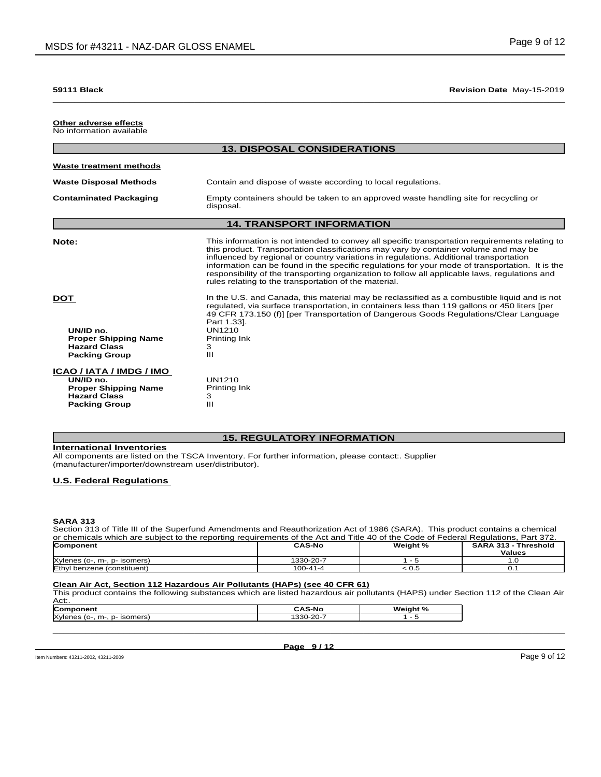### **Other adverse effects** No information available

|                                                                                                                     | <b>13. DISPOSAL CONSIDERATIONS</b>                                                                                                                                                                                                                                                                                                                                                                                                                                                                                                              |
|---------------------------------------------------------------------------------------------------------------------|-------------------------------------------------------------------------------------------------------------------------------------------------------------------------------------------------------------------------------------------------------------------------------------------------------------------------------------------------------------------------------------------------------------------------------------------------------------------------------------------------------------------------------------------------|
| <b>Waste treatment methods</b>                                                                                      |                                                                                                                                                                                                                                                                                                                                                                                                                                                                                                                                                 |
| <b>Waste Disposal Methods</b>                                                                                       | Contain and dispose of waste according to local regulations.                                                                                                                                                                                                                                                                                                                                                                                                                                                                                    |
| <b>Contaminated Packaging</b>                                                                                       | Empty containers should be taken to an approved waste handling site for recycling or<br>disposal.                                                                                                                                                                                                                                                                                                                                                                                                                                               |
|                                                                                                                     | <b>14. TRANSPORT INFORMATION</b>                                                                                                                                                                                                                                                                                                                                                                                                                                                                                                                |
| Note:                                                                                                               | This information is not intended to convey all specific transportation requirements relating to<br>this product. Transportation classifications may vary by container volume and may be<br>influenced by regional or country variations in regulations. Additional transportation<br>information can be found in the specific regulations for your mode of transportation. It is the<br>responsibility of the transporting organization to follow all applicable laws, regulations and<br>rules relating to the transportation of the material. |
| <b>DOT</b><br>UN/ID no.<br><b>Proper Shipping Name</b><br><b>Hazard Class</b><br><b>Packing Group</b>               | In the U.S. and Canada, this material may be reclassified as a combustible liquid and is not<br>regulated, via surface transportation, in containers less than 119 gallons or 450 liters [per<br>49 CFR 173.150 (f)] [per Transportation of Dangerous Goods Regulations/Clear Language<br>Part 1.33].<br><b>UN1210</b><br>Printing Ink<br>3<br>Ш                                                                                                                                                                                                |
| ICAO / IATA / IMDG / IMO<br>UN/ID no.<br><b>Proper Shipping Name</b><br><b>Hazard Class</b><br><b>Packing Group</b> | <b>UN1210</b><br>Printing Ink<br>3<br>Ш                                                                                                                                                                                                                                                                                                                                                                                                                                                                                                         |

### **15. REGULATORY INFORMATION**

**International Inventories**

All components are listed on the TSCA Inventory. For further information, please contact:. Supplier (manufacturer/importer/downstream user/distributor).

### **U.S. Federal Regulations**

### **SARA 313**

Section 313 of Title III of the Superfund Amendments and Reauthorization Act of 1986 (SARA). This product contains a chemical or chemicals which are subject to the reporting requirements of the Act and Title 40 of the Code of Federal Regulations, Part 372. **Component CAS-No Weight % SARA 313 - Threshold**

| <b>ICOLIDUIRII</b>                                        | vavivu<br><b>Treight</b> 70 |      | $971779 - 1119511919$ |  |
|-----------------------------------------------------------|-----------------------------|------|-----------------------|--|
|                                                           |                             |      | <b>Values</b>         |  |
| <b>X</b> vlenes<br>· isomers)<br>$. m-$<br>$D-$<br>, 10-. | 1330-20-7                   |      | .u                    |  |
| Ethyl<br>benzene (constituent)                            | $100 - 41 - 4$              | ี∪.≎ | J.                    |  |

### **Clean Air Act,Section 112 Hazardous Air Pollutants (HAPs) (see 40 CFR 61)**

This product contains the following substances which are listed hazardous air pollutants (HAPS) under Section 112 of the Clean Air Act:.

| <b>Con</b><br>нен                                    | <b>S-No</b>                             | Weight |
|------------------------------------------------------|-----------------------------------------|--------|
| <b>Xvlenes</b><br>$n^{\alpha}$<br>m-<br>sor<br>טוסוו | .000<br>$\sim$<br>1-21 I-<br>ააυ<br>- 9 |        |
|                                                      |                                         |        |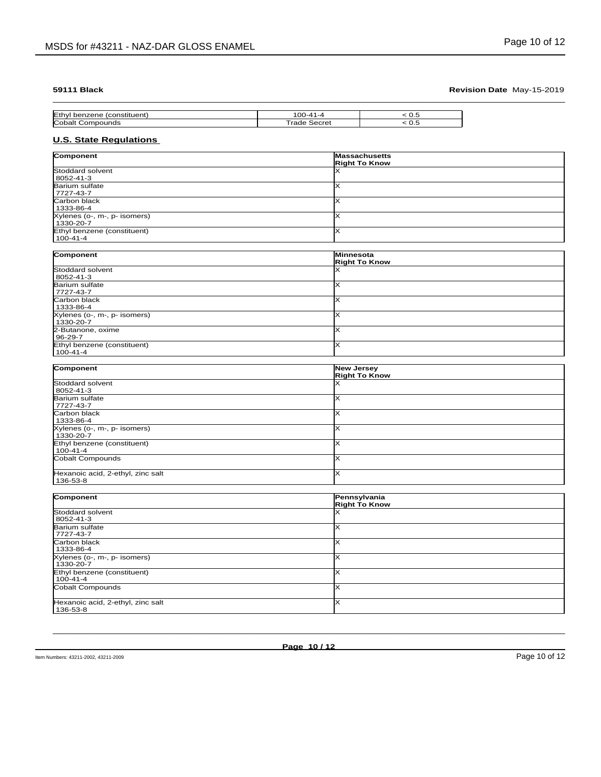| Ethy.  | . .<br>. . | ◡.◡ |
|--------|------------|-----|
| $\sim$ | $-$<br>.   | ک   |

# **U.S. State Regulations**

| Component                                     | Massachusetts<br><b>Right To Know</b>     |  |
|-----------------------------------------------|-------------------------------------------|--|
| Stoddard solvent                              | x                                         |  |
| 8052-41-3                                     |                                           |  |
| Barium sulfate<br>7727-43-7                   | $\overline{\mathsf{x}}$                   |  |
| Carbon black                                  | ×                                         |  |
| 1333-86-4                                     |                                           |  |
| Xylenes (o-, m-, p- isomers)<br>1330-20-7     | $\overline{\mathsf{x}}$                   |  |
| Ethyl benzene (constituent)<br>$100 - 41 - 4$ | $\overline{\mathsf{x}}$                   |  |
|                                               |                                           |  |
| Component                                     | Minnesota<br><b>Right To Know</b>         |  |
| Stoddard solvent                              | x                                         |  |
| 8052-41-3                                     |                                           |  |
| <b>Barium sulfate</b><br>7727-43-7            | ×                                         |  |
| Carbon black                                  | $\times$                                  |  |
| 1333-86-4                                     |                                           |  |
| Xylenes (o-, m-, p- isomers)                  | $\overline{\mathsf{x}}$                   |  |
| 1330-20-7                                     |                                           |  |
| 2-Butanone, oxime<br>96-29-7                  | Ιx                                        |  |
| Ethyl benzene (constituent)                   | x                                         |  |
| $100 - 41 - 4$                                |                                           |  |
|                                               |                                           |  |
| Component                                     | <b>New Jersey</b><br><b>Right To Know</b> |  |
| Stoddard solvent                              | x                                         |  |
| 8052-41-3                                     |                                           |  |
| <b>Barium sulfate</b>                         | $\overline{\mathsf{x}}$                   |  |
| 7727-43-7                                     |                                           |  |
| Carbon black<br>1333-86-4                     | $\times$                                  |  |
| Xylenes (o-, m-, p- isomers)<br>1330-20-7     | x                                         |  |
| Ethyl benzene (constituent)<br>$100 - 41 - 4$ | $\times$                                  |  |
| Cobalt Compounds                              | $\overline{\mathsf{x}}$                   |  |
| Hexanoic acid, 2-ethyl, zinc salt<br>136-53-8 | lx.                                       |  |
|                                               |                                           |  |
| Component                                     | Pennsylvania<br><b>Right To Know</b>      |  |
| Stoddard solvent                              | X                                         |  |
| 8052-41-3                                     |                                           |  |
| Barium sulfate<br>7727-43-7                   | $\times$                                  |  |
| Carbon black                                  | ×                                         |  |
| 1333-86-4                                     |                                           |  |
| Xylenes (o-, m-, p- isomers)<br>1330-20-7     | ×                                         |  |
| Ethyl benzene (constituent)<br>$100 - 41 - 4$ | $\overline{\mathsf{x}}$                   |  |
| Cobalt Compounds                              | $\overline{\mathsf{x}}$                   |  |
| Hexanoic acid, 2-ethyl, zinc salt             | $\overline{\mathsf{x}}$                   |  |
| 136-53-8                                      |                                           |  |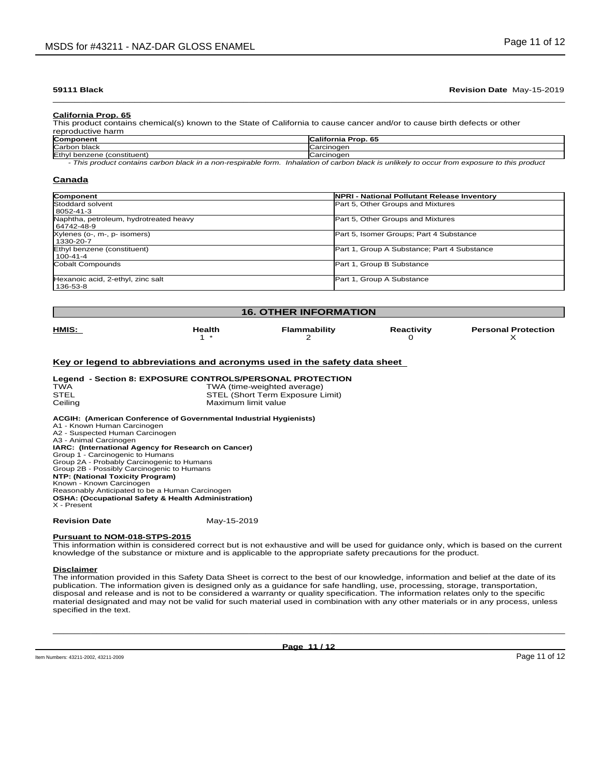**California Prop. 65**

| This product contains chemical(s) known to the State of California to cause cancer and/or to cause birth defects or other |                            |  |  |
|---------------------------------------------------------------------------------------------------------------------------|----------------------------|--|--|
| reproductive harm                                                                                                         |                            |  |  |
| Component                                                                                                                 | <b>California Prop. 65</b> |  |  |

| Component                                                                                                                                                             | ---<br>California<br>Prop. 65 |  |  |  |
|-----------------------------------------------------------------------------------------------------------------------------------------------------------------------|-------------------------------|--|--|--|
| Carbon black                                                                                                                                                          | `arcinoqor<br>odi uli luutti  |  |  |  |
| <b>IFthyl</b><br>(constituent.<br>benzene                                                                                                                             | $'$ oroinogor<br>warull luut. |  |  |  |
| the batterian af anglese televit in coefficity in announcement acceptance in this was devel<br>This was don't sente be sentence to be all in a man president la famou |                               |  |  |  |

*- This product contains carbon black in a non-respirable form. Inhalation of carbon black is unlikely to occur from exposure to this product*

### **Canada**

| Component                                            | NPRI - National Pollutant Release Inventory |
|------------------------------------------------------|---------------------------------------------|
| Stoddard solvent<br>8052-41-3                        | Part 5, Other Groups and Mixtures           |
| Naphtha, petroleum, hydrotreated heavy<br>64742-48-9 | Part 5, Other Groups and Mixtures           |
| Xylenes (o-, m-, p- isomers)<br>1330-20-7            | Part 5, Isomer Groups; Part 4 Substance     |
| Ethyl benzene (constituent)<br>l 100-41-4            | Part 1, Group A Substance; Part 4 Substance |
| Cobalt Compounds                                     | Part 1, Group B Substance                   |
| Hexanoic acid, 2-ethyl, zinc salt<br>136-53-8        | Part 1, Group A Substance                   |

### **16. OTHER INFORMATION**

| HMIS: | Health | <b>Flammability</b> | Reactivity | <b>Personal Protection</b> |
|-------|--------|---------------------|------------|----------------------------|
|       |        |                     |            |                            |
|       |        |                     |            |                            |
|       |        |                     |            |                            |

### **Key or legend to abbreviations and acronyms used in the safety data sheet**

### **Legend - Section 8: EXPOSURE CONTROLS/PERSONAL PROTECTION**

| <b>TWA</b><br>STEL                                                                                | TWA (time-weighted average)<br>STEL (Short Term Exposure Limit) |  |
|---------------------------------------------------------------------------------------------------|-----------------------------------------------------------------|--|
| Ceilina                                                                                           | Maximum limit value                                             |  |
| ACGIH: (American Conference of Governmental Industrial Hygienists)<br>A1 - Known Human Carcinogen |                                                                 |  |

| A2 - Suspected Human Carcinogen                                |
|----------------------------------------------------------------|
| A3 - Animal Carcinogen                                         |
| IARC: (International Agency for Research on Cancer)            |
| Group 1 - Carcinogenic to Humans                               |
| Group 2A - Probably Carcinogenic to Humans                     |
| Group 2B - Possibly Carcinogenic to Humans                     |
| NTP: (National Toxicity Program)                               |
| Known - Known Carcinogen                                       |
| Reasonably Anticipated to be a Human Carcinogen                |
| <b>OSHA: (Occupational Safety &amp; Health Administration)</b> |
| X - Present                                                    |
|                                                                |

### **Revision Date** May-15-2019

### **Pursuant to NOM-018-STPS-2015**

This information within isconsidered correct but is not exhaustive and will be used for guidance only, which is based on the current knowledge of the substance or mixture and is applicable to the appropriate safety precautions for the product.

### **Disclaimer**

The information provided in this Safety Data Sheet is correct to the best of our knowledge, information and belief at the date of its information. The information given is designed only as a guidance for safe handling, use, processing, storage, transportation,<br>disposal and release and is not to be considered a warranty or quality specification. The infor material designated and may not be valid for such material used in combination with any other materials or in any process, unless specified in the text.